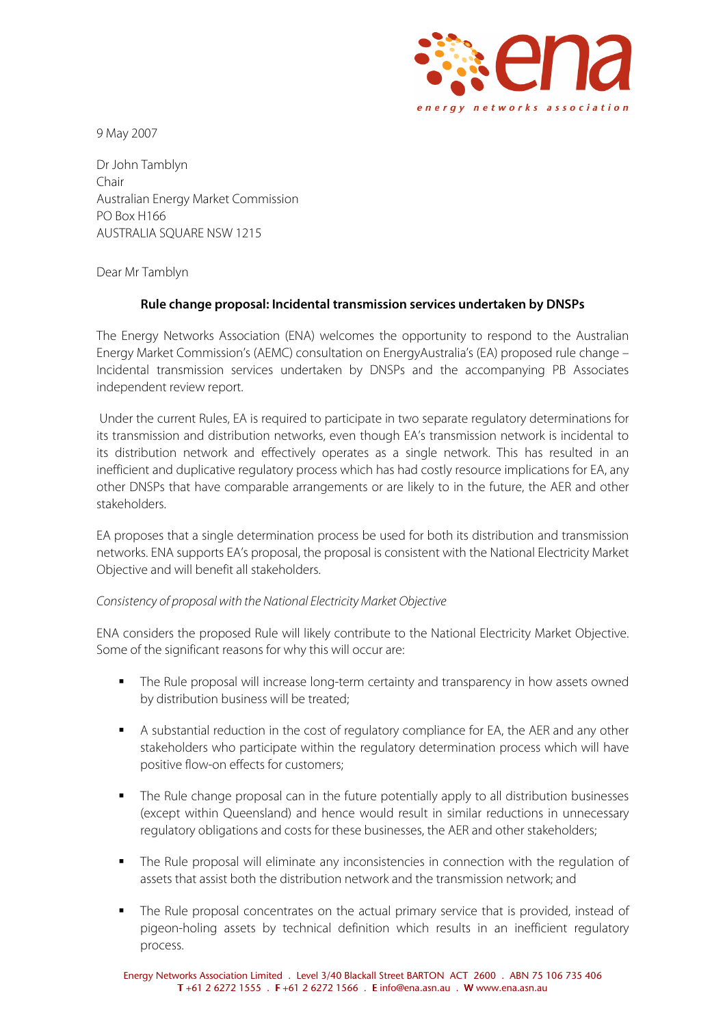

9 May 2007

Dr John Tamblyn Chair Australian Energy Market Commission PO Box H166 AUSTRALIA SQUARE NSW 1215

Dear Mr Tamblyn

## **Rule change proposal: Incidental transmission services undertaken by DNSPs**

The Energy Networks Association (ENA) welcomes the opportunity to respond to the Australian Energy Market Commission's (AEMC) consultation on EnergyAustralia's (EA) proposed rule change – Incidental transmission services undertaken by DNSPs and the accompanying PB Associates independent review report.

 Under the current Rules, EA is required to participate in two separate regulatory determinations for its transmission and distribution networks, even though EA's transmission network is incidental to its distribution network and effectively operates as a single network. This has resulted in an inefficient and duplicative regulatory process which has had costly resource implications for EA, any other DNSPs that have comparable arrangements or are likely to in the future, the AER and other stakeholders.

EA proposes that a single determination process be used for both its distribution and transmission networks. ENA supports EA's proposal, the proposal is consistent with the National Electricity Market Objective and will benefit all stakeholders.

## Consistency of proposal with the National Electricity Market Objective

ENA considers the proposed Rule will likely contribute to the National Electricity Market Objective. Some of the significant reasons for why this will occur are:

- The Rule proposal will increase long-term certainty and transparency in how assets owned by distribution business will be treated;
- A substantial reduction in the cost of regulatory compliance for EA, the AER and any other stakeholders who participate within the regulatory determination process which will have positive flow-on effects for customers;
- The Rule change proposal can in the future potentially apply to all distribution businesses (except within Queensland) and hence would result in similar reductions in unnecessary regulatory obligations and costs for these businesses, the AER and other stakeholders;
- The Rule proposal will eliminate any inconsistencies in connection with the regulation of assets that assist both the distribution network and the transmission network; and
- The Rule proposal concentrates on the actual primary service that is provided, instead of pigeon-holing assets by technical definition which results in an inefficient regulatory process.